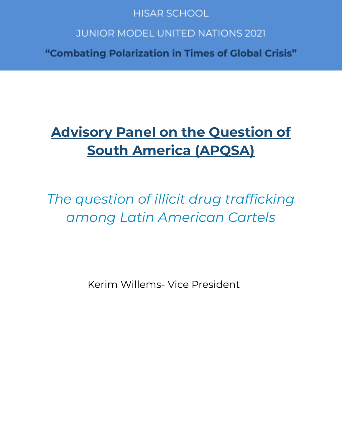## **HISAR SCHOOL**

# **JUNIOR MODEL UNITED NATIONS 2021**

"Combating Polarization in Times of Global Crisis"

# **Advisory Panel on the Question of South America (APQSA)**

*The question of illicit drug trafficking among Latin American Cartels*

Kerim Willems- Vice President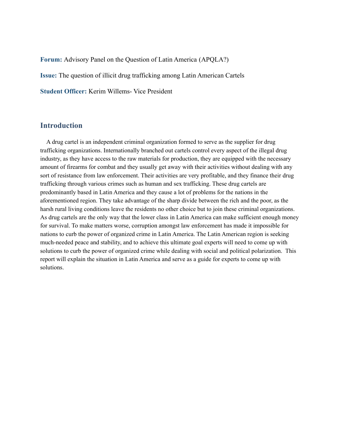**Forum:** Advisory Panel on the Question of Latin America (APQLA?)

**Issue:** The question of illicit drug trafficking among Latin American Cartels

**Student Officer:** Kerim Willems- Vice President

#### **Introduction**

A drug cartel is an independent criminal organization formed to serve as the supplier for drug trafficking organizations. Internationally branched out cartels control every aspect of the illegal drug industry, as they have access to the raw materials for production, they are equipped with the necessary amount of firearms for combat and they usually get away with their activities without dealing with any sort of resistance from law enforcement. Their activities are very profitable, and they finance their drug trafficking through various crimes such as human and sex trafficking. These drug cartels are predominantly based in Latin America and they cause a lot of problems for the nations in the aforementioned region. They take advantage of the sharp divide between the rich and the poor, as the harsh rural living conditions leave the residents no other choice but to join these criminal organizations. As drug cartels are the only way that the lower class in Latin America can make sufficient enough money for survival. To make matters worse, corruption amongst law enforcement has made it impossible for nations to curb the power of organized crime in Latin America. The Latin American region is seeking much-needed peace and stability, and to achieve this ultimate goal experts will need to come up with solutions to curb the power of organized crime while dealing with social and political polarization. This report will explain the situation in Latin America and serve as a guide for experts to come up with solutions.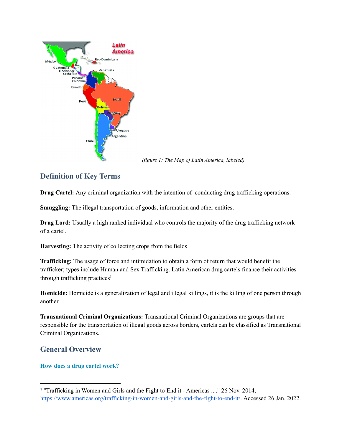

*(figure 1: The Map of Latin America, labeled)*

## **Definition of Key Terms**

**Drug Cartel:** Any criminal organization with the intention of conducting drug trafficking operations.

**Smuggling:** The illegal transportation of goods, information and other entities.

**Drug Lord:** Usually a high ranked individual who controls the majority of the drug trafficking network of a cartel.

**Harvesting:** The activity of collecting crops from the fields

**Trafficking:** The usage of force and intimidation to obtain a form of return that would benefit the trafficker; types include Human and Sex Trafficking. Latin American drug cartels finance their activities through trafficking practices 1

**Homicide:** Homicide is a generalization of legal and illegal killings, it is the killing of one person through another.

**Transnational Criminal Organizations:** Transnational Criminal Organizations are groups that are responsible for the transportation of illegal goods across borders, cartels can be classified as Transnational Criminal Organizations.

## **General Overview**

#### **How does a drug cartel work?**

<sup>1</sup> "Trafficking in Women and Girls and the Fight to End it - Americas ...." 26 Nov. 2014, <https://www.americas.org/trafficking-in-women-and-girls-and-the-fight-to-end-it/>. Accessed 26 Jan. 2022.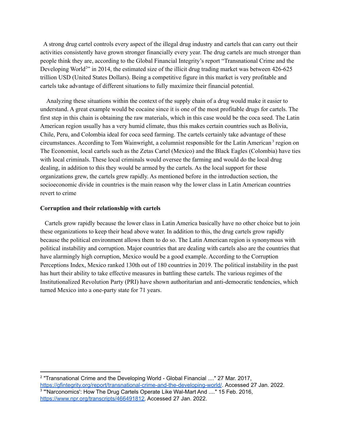A strong drug cartel controls every aspect of the illegal drug industry and cartels that can carry out their activities consistently have grown stronger financially every year. The drug cartels are much stronger than people think they are, according to the Global Financial Integrity's report "Transnational Crime and the Developing World<sup>2</sup>" in 2014, the estimated size of the illicit drug trading market was between 426-625 trillion USD (United States Dollars). Being a competitive figure in this market is very profitable and cartels take advantage of different situations to fully maximize their financial potential.

Analyzing these situations within the context of the supply chain of a drug would make it easier to understand. A great example would be cocaine since it is one of the most profitable drugs for cartels. The first step in this chain is obtaining the raw materials, which in this case would be the coca seed. The Latin American region usually has a very humid climate, thus this makes certain countries such as Bolivia, Chile, Peru, and Colombia ideal for coca seed farming. The cartels certainly take advantage of these circumstances. According to Tom Wainwright, a columnist responsible for the Latin American<sup>3</sup> region on The Economist, local cartels such as the Zetas Cartel (Mexico) and the Black Eagles (Colombia) have ties with local criminals. These local criminals would oversee the farming and would do the local drug dealing, in addition to this they would be armed by the cartels. As the local support for these organizations grew, the cartels grew rapidly. As mentioned before in the introduction section, the socioeconomic divide in countries is the main reason why the lower class in Latin American countries revert to crime

#### **Corruption and their relationship with cartels**

Cartels grow rapidly because the lower class in Latin America basically have no other choice but to join these organizations to keep their head above water. In addition to this, the drug cartels grow rapidly because the political environment allows them to do so. The Latin American region is synonymous with political instability and corruption. Major countries that are dealing with cartels also are the countries that have alarmingly high corruption, Mexico would be a good example. According to the Corruption Perceptions Index, Mexico ranked 130th out of 180 countries in 2019. The political instability in the past has hurt their ability to take effective measures in battling these cartels. The various regimes of the Institutionalized Revolution Party (PRI) have shown authoritarian and anti-democratic tendencies, which turned Mexico into a one-party state for 71 years.

<sup>&</sup>lt;sup>3</sup> "'Narconomics': How The Drug Cartels Operate Like Wal-Mart And ...." 15 Feb. 2016, [https://www.npr.org/transcripts/466491812.](https://www.npr.org/transcripts/466491812) Accessed 27 Jan. 2022. 2 "Transnational Crime and the Developing World - Global Financial ...." 27 Mar. 2017, <https://gfintegrity.org/report/transnational-crime-and-the-developing-world/>. Accessed 27 Jan. 2022.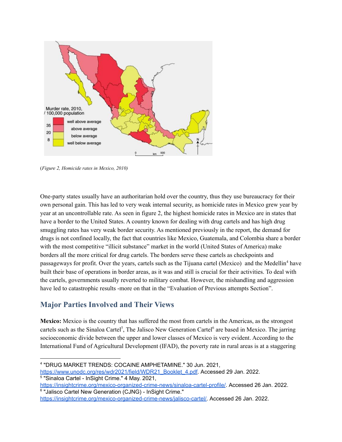

(*Figure 2, Homicide rates in Mexico, 2010)*

One-party states usually have an authoritarian hold over the country, thus they use bureaucracy for their own personal gain. This has led to very weak internal security, as homicide rates in Mexico grew year by year at an uncontrollable rate. As seen in figure 2, the highest homicide rates in Mexico are in states that have a border to the United States. A country known for dealing with drug cartels and has high drug smuggling rates has very weak border security. As mentioned previously in the report, the demand for drugs is not confined locally, the fact that countries like Mexico, Guatemala, and Colombia share a border with the most competitive "illicit substance" market in the world (United States of America) make borders all the more critical for drug cartels. The borders serve these cartels as checkpoints and passageways for profit. Over the years, cartels such as the Tijuana cartel (Mexico) and the Medellin<sup>4</sup> have built their base of operations in border areas, as it was and still is crucial for their activities. To deal with the cartels, governments usually reverted to military combat. However, the mishandling and aggression have led to catastrophic results -more on that in the "Evaluation of Previous attempts Section".

## **Major Parties Involved and Their Views**

**Mexico:** Mexico is the country that has suffered the most from cartels in the Americas, as the strongest cartels such as the Sinaloa Cartel<sup>5</sup>, The Jalisco New Generation Cartel<sup>6</sup> are based in Mexico. The jarring socioeconomic divide between the upper and lower classes of Mexico is very evident. According to the International Fund of Agricultural Development (IFAD), the poverty rate in rural areas is at a staggering

<sup>4</sup> "DRUG MARKET TRENDS: COCAINE AMPHETAMINE." 30 Jun. 2021,

<sup>5</sup> "Sinaloa Cartel - InSight Crime." 4 May. 2021, [https://www.unodc.org/res/wdr2021/field/WDR21\\_Booklet\\_4.pdf.](https://www.unodc.org/res/wdr2021/field/WDR21_Booklet_4.pdf) Accessed 29 Jan. 2022.

<sup>6</sup> "Jalisco Cartel New Generation (CJNG) - InSight Crime." <https://insightcrime.org/mexico-organized-crime-news/sinaloa-cartel-profile/>. Accessed 26 Jan. 2022.

[https://insightcrime.org/mexico-organized-crime-news/jalisco-cartel/.](https://insightcrime.org/mexico-organized-crime-news/jalisco-cartel/) Accessed 26 Jan. 2022.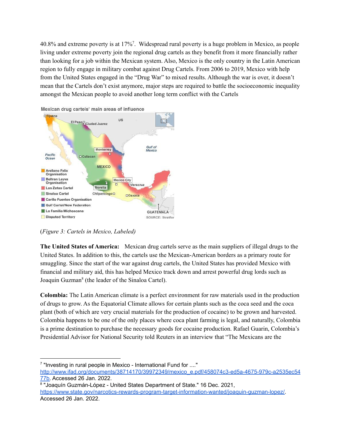40.8% and extreme poverty is at 17%<sup>7</sup>. Widespread rural poverty is a huge problem in Mexico, as people living under extreme poverty join the regional drug cartels as they benefit from it more financially rather than looking for a job within the Mexican system. Also, Mexico is the only country in the Latin American region to fully engage in military combat against Drug Cartels. From 2006 to 2019, Mexico with help from the United States engaged in the "Drug War" to mixed results. Although the war is over, it doesn't mean that the Cartels don't exist anymore, major steps are required to battle the socioeconomic inequality amongst the Mexican people to avoid another long term conflict with the Cartels



Mexican drug cartels' main areas of influence

#### (*Figure 3: Cartels in Mexico, Labeled)*

**The United States of America:** Mexican drug cartels serve as the main suppliers of illegal drugs to the United States. In addition to this, the cartels use the Mexican-American borders as a primary route for smuggling. Since the start of the war against drug cartels, the United States has provided Mexico with financial and military aid, this has helped Mexico track down and arrest powerful drug lords such as Joaquin Guzman<sup>8</sup> (the leader of the Sinaloa Cartel).

**Colombia:** The Latin American climate is a perfect environment for raw materials used in the production of drugs to grow. As the Equatorial Climate allows for certain plants such as the coca seed and the coca plant (both of which are very crucial materials for the production of cocaine) to be grown and harvested. Colombia happens to be one of the only places where coca plant farming is legal, and naturally, Colombia is a prime destination to purchase the necessary goods for cocaine production. Rafael Guarin, Colombia's Presidential Advisor for National Security told Reuters in an interview that "The Mexicans are the

<sup>&</sup>lt;sup>7</sup> "Investing in rural people in Mexico - International Fund for ...." [http://www.ifad.org/documents/38714170/39972349/mexico\\_e.pdf/458074c3-ed5a-4675-979c-a2535ec54](http://www.ifad.org/documents/38714170/39972349/mexico_e.pdf/458074c3-ed5a-4675-979c-a2535ec5477b) [77b.](http://www.ifad.org/documents/38714170/39972349/mexico_e.pdf/458074c3-ed5a-4675-979c-a2535ec5477b) Accessed 26 Jan. 2022.

<sup>&</sup>lt;sup>8</sup> "Joaquín Guzmán-López - United States Department of State." 16 Dec. 2021, [https://www.state.gov/narcotics-rewards-program-target-information-wanted/joaquin-guzman-lopez/.](https://www.state.gov/narcotics-rewards-program-target-information-wanted/joaquin-guzman-lopez/) Accessed 26 Jan. 2022.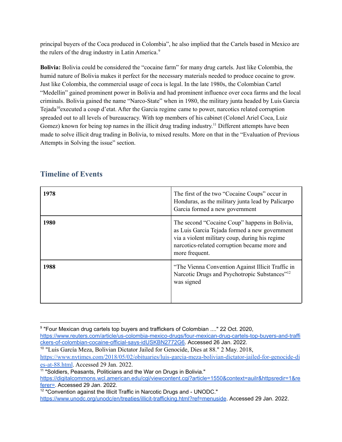principal buyers of the Coca produced in Colombia", he also implied that the Cartels based in Mexico are the rulers of the drug industry in Latin America. 9

**Bolivia:** Bolivia could be considered the "cocaine farm" for many drug cartels. Just like Colombia, the humid nature of Bolivia makes it perfect for the necessary materials needed to produce cocaine to grow. Just like Colombia, the commercial usage of coca is legal. In the late 1980s, the Colombian Cartel "Medellin" gained prominent power in Bolivia and had prominent influence over coca farms and the local criminals. Bolivia gained the name "Narco-State" when in 1980, the military junta headed by Luis Garcia Tejada<sup>10</sup> executed a coup d'etat. After the Garcia regime came to power, narcotics related corruption spreaded out to all levels of bureaucracy. With top members of his cabinet (Colonel Ariel Coca, Luiz Gomez) known for being top names in the illicit drug trading industry.<sup>11</sup> Different attempts have been made to solve illicit drug trading in Bolivia, to mixed results. More on that in the "Evaluation of Previous Attempts in Solving the issue" section.

| 1978 | The first of the two "Cocaine Coups" occur in<br>Honduras, as the military junta lead by Palicarpo<br>Garcia formed a new government                                                                               |
|------|--------------------------------------------------------------------------------------------------------------------------------------------------------------------------------------------------------------------|
| 1980 | The second "Cocaine Coup" happens in Bolivia,<br>as Luis Garcia Tejada formed a new government<br>via a violent military coup, during his regime<br>narcotics-related corruption became more and<br>more frequent. |
| 1988 | "The Vienna Convention Against Illicit Traffic in<br>Narcotic Drugs and Psychotropic Substances" <sup>12</sup><br>was signed                                                                                       |

## **Timeline of Events**

<sup>9</sup> "Four Mexican drug cartels top buyers and traffickers of Colombian ...." 22 Oct. 2020, [https://www.reuters.com/article/us-colombia-mexico-drugs/four-mexican-drug-cartels-top-buyers-and-traffi](https://www.reuters.com/article/us-colombia-mexico-drugs/four-mexican-drug-cartels-top-buyers-and-traffickers-of-colombian-cocaine-official-says-idUSKBN2772G6) [ckers-of-colombian-cocaine-official-says-idUSKBN2772G6.](https://www.reuters.com/article/us-colombia-mexico-drugs/four-mexican-drug-cartels-top-buyers-and-traffickers-of-colombian-cocaine-official-says-idUSKBN2772G6) Accessed 26 Jan. 2022.

<sup>10</sup> "Luis García Meza, Bolivian Dictator Jailed for Genocide, Dies at 88." 2 May. 2018, [https://www.nytimes.com/2018/05/02/obituaries/luis-garcia-meza-bolivian-dictator-jailed-for-genocide-di](https://www.nytimes.com/2018/05/02/obituaries/luis-garcia-meza-bolivian-dictator-jailed-for-genocide-dies-at-88.html) [es-at-88.html](https://www.nytimes.com/2018/05/02/obituaries/luis-garcia-meza-bolivian-dictator-jailed-for-genocide-dies-at-88.html). Accessed 29 Jan. 2022.

<sup>&</sup>lt;sup>11</sup> "Soldiers, Peasants, Politicians and the War on Drugs in Bolivia."

[https://digitalcommons.wcl.american.edu/cgi/viewcontent.cgi?article=1550&context=auilr&httpsredir=1&re](https://digitalcommons.wcl.american.edu/cgi/viewcontent.cgi?article=1550&context=auilr&httpsredir=1&referer=) [ferer=](https://digitalcommons.wcl.american.edu/cgi/viewcontent.cgi?article=1550&context=auilr&httpsredir=1&referer=). Accessed 29 Jan. 2022.

 $12$  "Convention against the Illicit Traffic in Narcotic Drugs and - UNODC."

<https://www.unodc.org/unodc/en/treaties/illicit-trafficking.html?ref=menuside>. Accessed 29 Jan. 2022.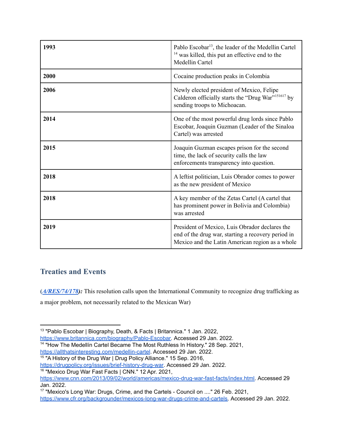| 1993 | Pablo Escobar <sup>13</sup> , the leader of the Medellin Cartel<br><sup>14</sup> was killed, this put an effective end to the<br>Medellin Cartel        |
|------|---------------------------------------------------------------------------------------------------------------------------------------------------------|
| 2000 | Cocaine production peaks in Colombia                                                                                                                    |
| 2006 | Newly elected president of Mexico, Felipe<br>Calderon officially starts the "Drug War" <sup>151617</sup> by<br>sending troops to Michoacan.             |
| 2014 | One of the most powerful drug lords since Pablo<br>Escobar, Joaquin Guzman (Leader of the Sinaloa<br>Cartel) was arrested                               |
| 2015 | Joaquin Guzman escapes prison for the second<br>time, the lack of security calls the law<br>enforcements transparency into question.                    |
| 2018 | A leftist politician, Luis Obrador comes to power<br>as the new president of Mexico                                                                     |
| 2018 | A key member of the Zetas Cartel (A cartel that<br>has prominent power in Bolivia and Colombia)<br>was arrested                                         |
| 2019 | President of Mexico, Luis Obrador declares the<br>end of the drug war, starting a recovery period in<br>Mexico and the Latin American region as a whole |

## **Treaties and Events**

**(***[A/RES/74/178](https://undocs.org/en/A/RES/74/178)):* This resolution calls upon the International Community to recognize drug trafficking as a major problem, not necessarily related to the Mexican War)

<sup>&</sup>lt;sup>13</sup> "Pablo Escobar | Biography, Death, & Facts | Britannica." 1 Jan. 2022, [https://www.britannica.com/biography/Pablo-Escobar.](https://www.britannica.com/biography/Pablo-Escobar) Accessed 29 Jan. 2022.

<sup>&</sup>lt;sup>14</sup> "How The Medellín Cartel Became The Most Ruthless In History." 28 Sep. 2021,

<https://allthatsinteresting.com/medellin-cartel>. Accessed 29 Jan. 2022.

<sup>&</sup>lt;sup>15</sup> "A History of the Drug War | Drug Policy Alliance." 15 Sep. 2016,

[https://drugpolicy.org/issues/brief-history-drug-war.](https://drugpolicy.org/issues/brief-history-drug-war) Accessed 29 Jan. 2022.

<sup>&</sup>lt;sup>16</sup> "Mexico Drug War Fast Facts | CNN." 12 Apr. 2021,

[https://www.cnn.com/2013/09/02/world/americas/mexico-drug-war-fast-facts/index.html.](https://www.cnn.com/2013/09/02/world/americas/mexico-drug-war-fast-facts/index.html) Accessed 29 Jan. 2022.

<sup>&</sup>lt;sup>17</sup> "Mexico's Long War: Drugs, Crime, and the Cartels - Council on ...." 26 Feb. 2021,

[https://www.cfr.org/backgrounder/mexicos-long-war-drugs-crime-and-cartels.](https://www.cfr.org/backgrounder/mexicos-long-war-drugs-crime-and-cartels) Accessed 29 Jan. 2022.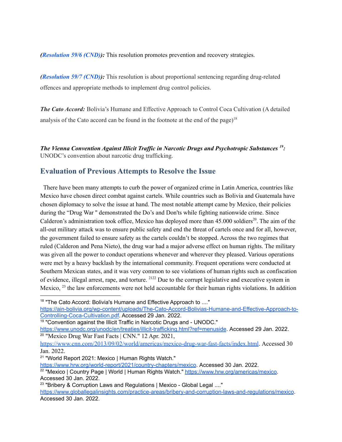*([Resolution](https://www.unodc.org/documents/commissions/CND/CND_Sessions/CND_59/Resolution_59_6.pdf) 59/6 (CND)):* This resolution promotes prevention and recovery strategies.

*([Resolution](https://www.unodc.org/documents/commissions/CND/CND_Sessions/CND_59/Resolution_59_7.pdf) 59/7 (CND)):* This resolution is about proportional sentencing regarding drug-related offences and appropriate methods to implement drug control policies.

*The Cato Accord:* Bolivia's Humane and Effective Approach to Control Coca Cultivation (A detailed analysis of the Cato accord can be found in the footnote at the end of the page) 18

*The Vienna Convention Against Illicit Traffic in Narcotic Drugs and Psychotropic Substances* <sup>19</sup>: UNODC's convention about narcotic drug trafficking.

## **Evaluation of Previous Attempts to Resolve the Issue**

There have been many attempts to curb the power of organized crime in Latin America, countries like Mexico have chosen direct combat against cartels. While countries such as Bolivia and Guatemala have chosen diplomacy to solve the issue at hand. The most notable attempt came by Mexico, their policies during the "Drug War '' demonstrated the Do's and Don'ts while fighting nationwide crime. Since Calderon's administration took office, Mexico has deployed more than  $45.000$  soldiers<sup>20</sup>. The aim of the all-out military attack was to ensure public safety and end the threat of cartels once and for all, however, the government failed to ensure safety as the cartels couldn't be stopped. Across the two regimes that ruled (Calderon and Pena Nieto), the drug war had a major adverse effect on human rights. The military was given all the power to conduct operations whenever and wherever they pleased. Various operations were met by a heavy backlash by the international community. Frequent operations were conducted at Southern Mexican states, and it was very common to see violations of human rights such as confiscation of evidence, illegal arrest, rape, and torture. <sup>2122</sup> Due to the corrupt legislative and executive system in Mexico,  $^{23}$  the law enforcements were not held accountable for their human rights violations. In addition

[https://ain-bolivia.org/wp-content/uploads/The-Cato-Accord-Bolivias-Humane-and-Effective-Approach-to-](https://ain-bolivia.org/wp-content/uploads/The-Cato-Accord-Bolivias-Humane-and-Effective-Approach-to-Controlling-Coca-Cultivation.pdf)[Controlling-Coca-Cultivation.pdf](https://ain-bolivia.org/wp-content/uploads/The-Cato-Accord-Bolivias-Humane-and-Effective-Approach-to-Controlling-Coca-Cultivation.pdf). Accessed 29 Jan. 2022.

<sup>20</sup> "Mexico Drug War Fast Facts | CNN." 12 Apr. 2021, <https://www.unodc.org/unodc/en/treaties/illicit-trafficking.html?ref=menuside>. Accessed 29 Jan. 2022.

<https://www.cnn.com/2013/09/02/world/americas/mexico-drug-war-fast-facts/index.html>. Accessed 30 Jan. 2022.

<sup>&</sup>lt;sup>18</sup> "The Cato Accord: Bolivia's Humane and Effective Approach to ...."

<sup>&</sup>lt;sup>19</sup> "Convention against the Illicit Traffic in Narcotic Drugs and - UNODC."

<sup>&</sup>lt;sup>21</sup> "World Report 2021: Mexico | Human Rights Watch."

<https://www.hrw.org/world-report/2021/country-chapters/mexico>. Accessed 30 Jan. 2022.

<sup>&</sup>lt;sup>22</sup> "Mexico | Country Page | World | Human Rights Watch." [https://www.hrw.org/americas/mexico.](https://www.hrw.org/americas/mexico) Accessed 30 Jan. 2022.

<sup>&</sup>lt;sup>23</sup> "Bribery & Corruption Laws and Regulations | Mexico - Global Legal ...." <https://www.globallegalinsights.com/practice-areas/bribery-and-corruption-laws-and-regulations/mexico>. Accessed 30 Jan. 2022.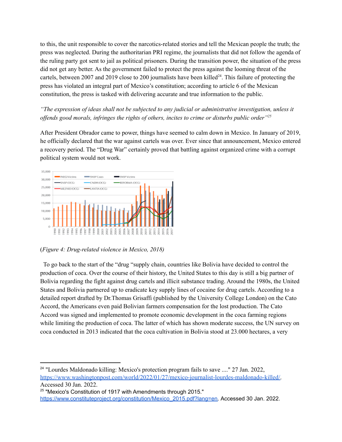to this, the unit responsible to cover the narcotics-related stories and tell the Mexican people the truth; the press was neglected. During the authoritarian PRI regime, the journalists that did not follow the agenda of the ruling party got sent to jail as political prisoners. During the transition power, the situation of the press did not get any better. As the government failed to protect the press against the looming threat of the cartels, between 2007 and 2019 close to 200 journalists have been killed<sup>24</sup>. This failure of protecting the press has violated an integral part of Mexico's constitution; according to article 6 of the Mexican constitution, the press is tasked with delivering accurate and true information to the public.

*"The expression of ideas shall not be subjected to any judicial or administrative investigation, unless it of ends good morals, infringes the rights of others, incites to crime or disturbs public order" 25*

After President Obrador came to power, things have seemed to calm down in Mexico. In January of 2019, he officially declared that the war against cartels was over. Ever since that announcement, Mexico entered a recovery period. The "Drug War" certainly proved that battling against organized crime with a corrupt political system would not work.



(*Figure 4: Drug-related violence in Mexico, 2018)*

To go back to the start of the "drug "supply chain, countries like Bolivia have decided to control the production of coca. Over the course of their history, the United States to this day is still a big partner of Bolivia regarding the fight against drug cartels and illicit substance trading. Around the 1980s, the United States and Bolivia partnered up to eradicate key supply lines of cocaine for drug cartels. According to a detailed report drafted by Dr.Thomas Grisaffi (published by the University College London) on the Cato Accord, the Americans even paid Bolivian farmers compensation for the lost production. The Cato Accord was signed and implemented to promote economic development in the coca farming regions while limiting the production of coca. The latter of which has shown moderate success, the UN survey on coca conducted in 2013 indicated that the coca cultivation in Bolivia stood at 23.000 hectares, a very

<sup>&</sup>lt;sup>24</sup> "Lourdes Maldonado killing: Mexico's protection program fails to save ...." 27 Jan. 2022, [https://www.washingtonpost.com/world/2022/01/27/mexico-journalist-lourdes-maldonado-killed/.](https://www.washingtonpost.com/world/2022/01/27/mexico-journalist-lourdes-maldonado-killed/) Accessed 30 Jan. 2022.

<sup>&</sup>lt;sup>25</sup> "Mexico's Constitution of 1917 with Amendments through 2015." [https://www.constituteproject.org/constitution/Mexico\\_2015.pdf?lang=en.](https://www.constituteproject.org/constitution/Mexico_2015.pdf?lang=en) Accessed 30 Jan. 2022.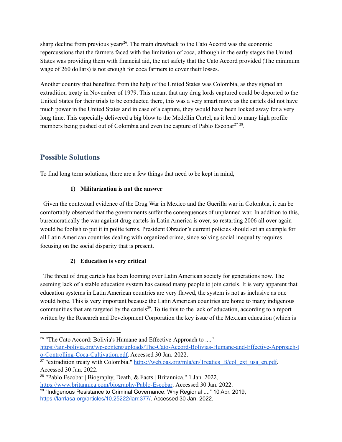sharp decline from previous years<sup>26</sup>. The main drawback to the Cato Accord was the economic repercussions that the farmers faced with the limitation of coca, although in the early stages the United States was providing them with financial aid, the net safety that the Cato Accord provided (The minimum wage of 260 dollars) is not enough for coca farmers to cover their losses.

Another country that benefited from the help of the United States was Colombia, as they signed an extradition treaty in November of 1979. This meant that any drug lords captured could be deported to the United States for their trials to be conducted there, this was a very smart move as the cartels did not have much power in the United States and in case of a capture, they would have been locked away for a very long time. This especially delivered a big blow to the Medellin Cartel, as it lead to many high profile members being pushed out of Colombia and even the capture of Pablo Escobar<sup>27</sup><sup>28</sup>.

## **Possible Solutions**

To find long term solutions, there are a few things that need to be kept in mind,

#### **1) Militarization is not the answer**

Given the contextual evidence of the Drug War in Mexico and the Guerilla war in Colombia, it can be comfortably observed that the governments suffer the consequences of unplanned war. In addition to this, bureaucratically the war against drug cartels in Latin America is over, so restarting 2006 all over again would be foolish to put it in polite terms. President Obrador's current policies should set an example for all Latin American countries dealing with organized crime, since solving social inequality requires focusing on the social disparity that is present.

### **2) Education is very critical**

The threat of drug cartels has been looming over Latin American society for generations now. The seeming lack of a stable education system has caused many people to join cartels. It is very apparent that education systems in Latin American countries are very flawed, the system is not as inclusive as one would hope. This is very important because the Latin American countries are home to many indigenous communities that are targeted by the cartels $^{29}$ . To tie this to the lack of education, according to a report written by the Research and Development Corporation the key issue of the Mexican education (which is

<sup>&</sup>lt;sup>26</sup> "The Cato Accord: Bolivia's Humane and Effective Approach to ...." [https://ain-bolivia.org/wp-content/uploads/The-Cato-Accord-Bolivias-Humane-and-Effective-Approach-t](https://ain-bolivia.org/wp-content/uploads/The-Cato-Accord-Bolivias-Humane-and-Effective-Approach-to-Controlling-Coca-Cultivation.pdf) [o-Controlling-Coca-Cultivation.pdf.](https://ain-bolivia.org/wp-content/uploads/The-Cato-Accord-Bolivias-Humane-and-Effective-Approach-to-Controlling-Coca-Cultivation.pdf) Accessed 30 Jan. 2022.

<sup>&</sup>lt;sup>27</sup> "extradition treaty with Colombia." [https://web.oas.org/mla/en/Treaties\\_B/col\\_ext\\_usa\\_en.pdf.](https://web.oas.org/mla/en/Treaties_B/col_ext_usa_en.pdf) Accessed 30 Jan. 2022.

<sup>28</sup> "Pablo Escobar | Biography, Death, & Facts | Britannica." 1 Jan. 2022, [https://www.britannica.com/biography/Pablo-Escobar.](https://www.britannica.com/biography/Pablo-Escobar) Accessed 30 Jan. 2022.

<sup>&</sup>lt;sup>29</sup> "Indigenous Resistance to Criminal Governance: Why Regional ...." 10 Apr. 2019, [https://larrlasa.org/articles/10.25222/larr.377/.](https://larrlasa.org/articles/10.25222/larr.377/) Accessed 30 Jan. 2022.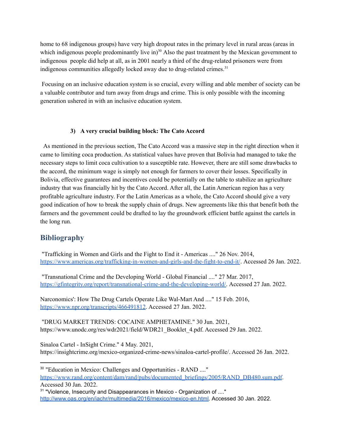home to 68 indigenous groups) have very high dropout rates in the primary level in rural areas (areas in which indigenous people predominantly live in $30$  Also the past treatment by the Mexican government to indigenous people did help at all, as in 2001 nearly a third of the drug-related prisoners were from indigenous communities allegedly locked away due to drug-related crimes. 31

Focusing on an inclusive education system is so crucial, every willing and able member of society can be a valuable contributor and turn away from drugs and crime. This is only possible with the incoming generation ushered in with an inclusive education system.

#### **3) A very crucial building block: The Cato Accord**

As mentioned in the previous section, The Cato Accord was a massive step in the right direction when it came to limiting coca production. As statistical values have proven that Bolivia had managed to take the necessary steps to limit coca cultivation to a susceptible rate. However, there are still some drawbacks to the accord, the minimum wage is simply not enough for farmers to cover their losses. Specifically in Bolivia, effective guarantees and incentives could be potentially on the table to stabilize an agriculture industry that was financially hit by the Cato Accord. After all, the Latin American region has a very profitable agriculture industry. For the Latin Americas as a whole, the Cato Accord should give a very good indication of how to break the supply chain of drugs. New agreements like this that benefit both the farmers and the government could be drafted to lay the groundwork efficient battle against the cartels in the long run.

## **Bibliography**

"Trafficking in Women and Girls and the Fight to End it - Americas ...." 26 Nov. 2014, <https://www.americas.org/trafficking-in-women-and-girls-and-the-fight-to-end-it/>. Accessed 26 Jan. 2022.

"Transnational Crime and the Developing World - Global Financial ...." 27 Mar. 2017, [https://gfintegrity.org/report/transnational-crime-and-the-developing-world/.](https://gfintegrity.org/report/transnational-crime-and-the-developing-world/) Accessed 27 Jan. 2022.

Narconomics': How The Drug Cartels Operate Like Wal-Mart And ...." 15 Feb. 2016, [https://www.npr.org/transcripts/466491812.](https://www.npr.org/transcripts/466491812) Accessed 27 Jan. 2022.

"DRUG MARKET TRENDS: COCAINE AMPHETAMINE." 30 Jun. 2021, https://www.unodc.org/res/wdr2021/field/WDR21\_Booklet\_4.pdf. Accessed 29 Jan. 2022.

Sinaloa Cartel - InSight Crime." 4 May. 2021, https://insightcrime.org/mexico-organized-crime-news/sinaloa-cartel-profile/. Accessed 26 Jan. 2022.

Accessed 30 Jan. 2022.

<sup>30</sup> "Education in Mexico: Challenges and Opportunities - RAND ...." [https://www.rand.org/content/dam/rand/pubs/documented\\_briefings/2005/RAND\\_DB480.sum.pdf](https://www.rand.org/content/dam/rand/pubs/documented_briefings/2005/RAND_DB480.sum.pdf).

<sup>&</sup>lt;sup>31</sup> "Violence, Insecurity and Disappearances in Mexico - Organization of ...." [http://www.oas.org/en/iachr/multimedia/2016/mexico/mexico-en.html.](http://www.oas.org/en/iachr/multimedia/2016/mexico/mexico-en.html) Accessed 30 Jan. 2022.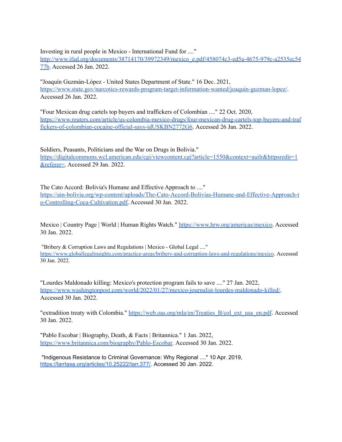Investing in rural people in Mexico - International Fund for ...." [http://www.ifad.org/documents/38714170/39972349/mexico\\_e.pdf/458074c3-ed5a-4675-979c-a2535ec54](http://www.ifad.org/documents/38714170/39972349/mexico_e.pdf/458074c3-ed5a-4675-979c-a2535ec5477b) [77b](http://www.ifad.org/documents/38714170/39972349/mexico_e.pdf/458074c3-ed5a-4675-979c-a2535ec5477b). Accessed 26 Jan. 2022.

"Joaquín Guzmán-López - United States Department of State." 16 Dec. 2021, <https://www.state.gov/narcotics-rewards-program-target-information-wanted/joaquin-guzman-lopez/>. Accessed 26 Jan. 2022.

"Four Mexican drug cartels top buyers and traffickers of Colombian ...." 22 Oct. 2020, [https://www.reuters.com/article/us-colombia-mexico-drugs/four-mexican-drug-cartels-top-buyers-and-traf](https://www.reuters.com/article/us-colombia-mexico-drugs/four-mexican-drug-cartels-top-buyers-and-traffickers-of-colombian-cocaine-official-says-idUSKBN2772G6) [fickers-of-colombian-cocaine-official-says-idUSKBN2772G6.](https://www.reuters.com/article/us-colombia-mexico-drugs/four-mexican-drug-cartels-top-buyers-and-traffickers-of-colombian-cocaine-official-says-idUSKBN2772G6) Accessed 26 Jan. 2022.

Soldiers, Peasants, Politicians and the War on Drugs in Bolivia." [https://digitalcommons.wcl.american.edu/cgi/viewcontent.cgi?article=1550&context=auilr&httpsredir=1](https://digitalcommons.wcl.american.edu/cgi/viewcontent.cgi?article=1550&context=auilr&httpsredir=1&referer=) [&referer=](https://digitalcommons.wcl.american.edu/cgi/viewcontent.cgi?article=1550&context=auilr&httpsredir=1&referer=). Accessed 29 Jan. 2022.

The Cato Accord: Bolivia's Humane and Effective Approach to ...." [https://ain-bolivia.org/wp-content/uploads/The-Cato-Accord-Bolivias-Humane-and-Effective-Approach-t](https://ain-bolivia.org/wp-content/uploads/The-Cato-Accord-Bolivias-Humane-and-Effective-Approach-to-Controlling-Coca-Cultivation.pdf) [o-Controlling-Coca-Cultivation.pdf.](https://ain-bolivia.org/wp-content/uploads/The-Cato-Accord-Bolivias-Humane-and-Effective-Approach-to-Controlling-Coca-Cultivation.pdf) Accessed 30 Jan. 2022.

Mexico | Country Page | World | Human Rights Watch." [https://www.hrw.org/americas/mexico.](https://www.hrw.org/americas/mexico) Accessed 30 Jan. 2022.

"Bribery & Corruption Laws and Regulations | Mexico - Global Legal ...." <https://www.globallegalinsights.com/practice-areas/bribery-and-corruption-laws-and-regulations/mexico>. Accessed 30 Jan. 2022.

"Lourdes Maldonado killing: Mexico's protection program fails to save ...." 27 Jan. 2022, [https://www.washingtonpost.com/world/2022/01/27/mexico-journalist-lourdes-maldonado-killed/.](https://www.washingtonpost.com/world/2022/01/27/mexico-journalist-lourdes-maldonado-killed/) Accessed 30 Jan. 2022.

"extradition treaty with Colombia." [https://web.oas.org/mla/en/Treaties\\_B/col\\_ext\\_usa\\_en.pdf](https://web.oas.org/mla/en/Treaties_B/col_ext_usa_en.pdf). Accessed 30 Jan. 2022.

"Pablo Escobar | Biography, Death, & Facts | Britannica." 1 Jan. 2022, [https://www.britannica.com/biography/Pablo-Escobar.](https://www.britannica.com/biography/Pablo-Escobar) Accessed 30 Jan. 2022.

"Indigenous Resistance to Criminal Governance: Why Regional ...." 10 Apr. 2019, [https://larrlasa.org/articles/10.25222/larr.377/.](https://larrlasa.org/articles/10.25222/larr.377/) Accessed 30 Jan. 2022.